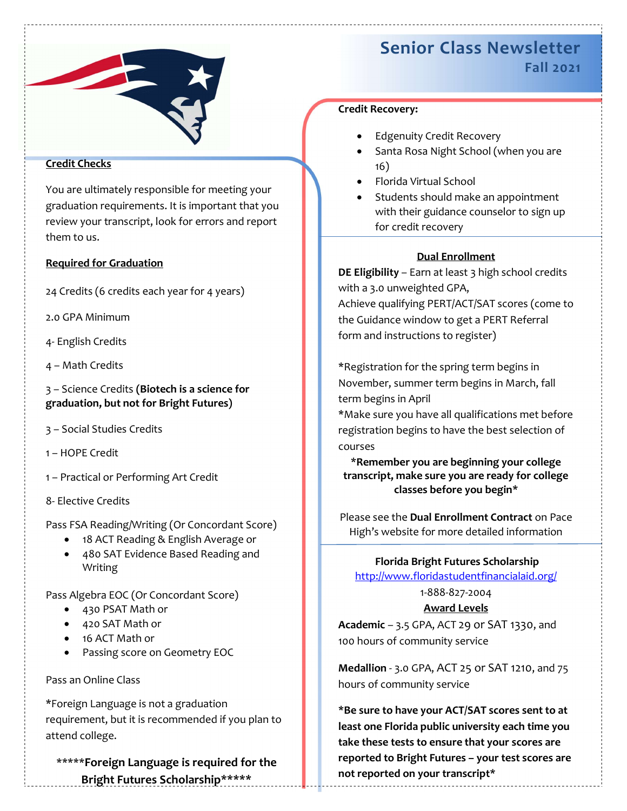

### Credit Checks

You are ultimately responsible for meeting your graduation requirements. It is important that you review your transcript, look for errors and report them to us.

#### Required for Graduation

24 Credits (6 credits each year for 4 years)

2.0 GPA Minimum

- 4- English Credits
- 4 Math Credits

3 – Science Credits (Biotech is a science for graduation, but not for Bright Futures)

- 3 Social Studies Credits
- 1 HOPE Credit
- 1 Practical or Performing Art Credit
- 8- Elective Credits

Pass FSA Reading/Writing (Or Concordant Score)

- 18 ACT Reading & English Average or
- 480 SAT Evidence Based Reading and Writing

Pass Algebra EOC (Or Concordant Score)

- 430 PSAT Math or
- 420 SAT Math or
- 16 ACT Math or
- Passing score on Geometry EOC

Pass an Online Class

\*Foreign Language is not a graduation requirement, but it is recommended if you plan to attend college.

\*\*\*\*\*Foreign Language is required for the Bright Futures Scholarship\*\*\*\*\*

# Senior Class Newsletter Fall 2021

### Credit Recovery:

- Edgenuity Credit Recovery
- Santa Rosa Night School (when you are 16)
- Florida Virtual School
- Students should make an appointment with their guidance counselor to sign up for credit recovery

## Dual Enrollment

DE Eligibility – Earn at least 3 high school credits with a 3.0 unweighted GPA, Achieve qualifying PERT/ACT/SAT scores (come to the Guidance window to get a PERT Referral form and instructions to register)

\*Registration for the spring term begins in November, summer term begins in March, fall term begins in April

\*Make sure you have all qualifications met before registration begins to have the best selection of courses

\*Remember you are beginning your college transcript, make sure you are ready for college classes before you begin\*

Please see the Dual Enrollment Contract on Pace High's website for more detailed information

Florida Bright Futures Scholarship

http://www.floridastudentfinancialaid.org/

## 1-888-827-2004

Award Levels

Academic – 3.5 GPA, ACT 29 or SAT 1330, and 100 hours of community service

Medallion - 3.0 GPA, ACT 25 or SAT 1210, and 75 hours of community service

\*Be sure to have your ACT/SAT scores sent to at least one Florida public university each time you take these tests to ensure that your scores are reported to Bright Futures – your test scores are not reported on your transcript\*